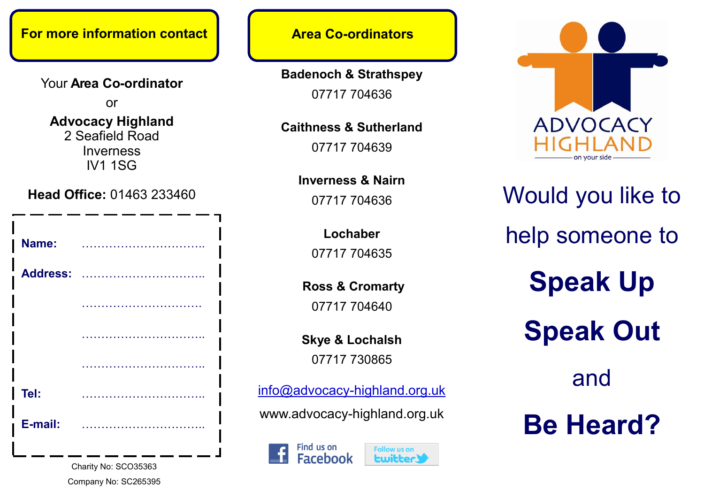## **For more information contact Area Co-ordinators**

Your **Area Co-ordinator** 

or

#### **Advocacy Highland**  2 Seafield Road Inverness IV1 1SG

**Head Office:** 01463 233460

| Name:           |  |
|-----------------|--|
| <b>Address:</b> |  |
|                 |  |
|                 |  |
|                 |  |
| Tel:            |  |
| E-mail:         |  |
|                 |  |

Charity No: SCO35363 Company No: SC265395

**Badenoch & Strathspey** 07717 704636

**Caithness & Sutherland**

07717 704639

**Inverness & Nairn** 07717 704636

> **Lochaber** 07717 704635

**Ross & Cromarty** 07717 704640

**Skye & Lochalsh** 07717 730865

[info@advocacy](mailto:info@advocacy-highland.org.uk)-highland.org.uk

www.advocacy-highland.org.uk

Find us on **Facebook** 





# Would you like to help someone to **Speak Up Speak Out** and **Be Heard?**